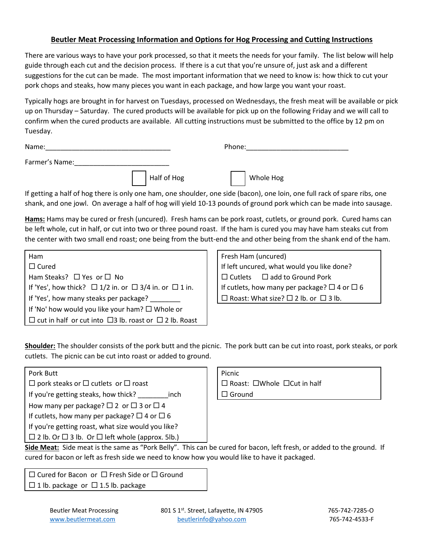## **Beutler Meat Processing Information and Options for Hog Processing and Cutting Instructions**

There are various ways to have your pork processed, so that it meets the needs for your family. The list below will help guide through each cut and the decision process. If there is a cut that you're unsure of, just ask and a different suggestions for the cut can be made. The most important information that we need to know is: how thick to cut your pork chops and steaks, how many pieces you want in each package, and how large you want your roast.

Typically hogs are brought in for harvest on Tuesdays, processed on Wednesdays, the fresh meat will be available or pick up on Thursday – Saturday. The cured products will be available for pick up on the following Friday and we will call to confirm when the cured products are available. All cutting instructions must be submitted to the office by 12 pm on Tuesday.

| Name:          |             | Phone: |           |
|----------------|-------------|--------|-----------|
| Farmer's Name: |             |        |           |
|                | Half of Hog |        | Whole Hog |

If getting a half of hog there is only one ham, one shoulder, one side (bacon), one loin, one full rack of spare ribs, one shank, and one jowl. On average a half of hog will yield 10-13 pounds of ground pork which can be made into sausage.

**Hams:** Hams may be cured or fresh (uncured). Fresh hams can be pork roast, cutlets, or ground pork. Cured hams can be left whole, cut in half, or cut into two or three pound roast. If the ham is cured you may have ham steaks cut from the center with two small end roast; one being from the butt-end the and other being from the shank end of the ham.

| <b>Ham</b>                                                              | Fresh Ham (uncured)                                    |  |
|-------------------------------------------------------------------------|--------------------------------------------------------|--|
| $\Box$ Cured                                                            | If left uncured, what would you like done?             |  |
| Ham Steaks? $\Box$ Yes or $\Box$ No                                     | $\Box$ Cutlets $\Box$ add to Ground Pork               |  |
| If 'Yes', how thick? $\Box$ 1/2 in. or $\Box$ 3/4 in. or $\Box$ 1 in.   | If cutlets, how many per package? $\Box$ 4 or $\Box$ 6 |  |
| If 'Yes', how many steaks per package?                                  | $\Box$ Roast: What size? $\Box$ 2 lb. or $\Box$ 3 lb.  |  |
| If 'No' how would you like your ham? $\Box$ Whole or                    |                                                        |  |
| $\Box$ cut in half or cut into $\Box$ 3 lb. roast or $\Box$ 2 lb. Roast |                                                        |  |

| Fresh Ham (uncured)                                    |                                          |  |
|--------------------------------------------------------|------------------------------------------|--|
| If left uncured, what would you like done?             |                                          |  |
|                                                        | $\Box$ Cutlets $\Box$ add to Ground Pork |  |
| If cutlets, how many per package? $\Box$ 4 or $\Box$ 6 |                                          |  |
| $\Box$ Roast: What size? $\Box$ 2 lb. or $\Box$ 3 lb.  |                                          |  |

**Shoulder:** The shoulder consists of the pork butt and the picnic. The pork butt can be cut into roast, pork steaks, or pork cutlets. The picnic can be cut into roast or added to ground.

| Pork Butt                                              |                                              | Picnic                       |
|--------------------------------------------------------|----------------------------------------------|------------------------------|
| $\Box$ pork steaks or $\Box$ cutlets or $\Box$ roast   |                                              | □ Roast: □Whole □Cut in half |
|                                                        | If you're getting steaks, how thick?<br>inch | $\Box$ Ground                |
| How many per package? $\Box$ 2 or $\Box$ 3 or $\Box$ 4 |                                              |                              |
| If cutlets, how many per package? $\Box$ 4 or $\Box$ 6 |                                              |                              |
| If you're getting roast, what size would you like?     |                                              |                              |
|                                                        |                                              |                              |

 $\Box$  2 lb. Or  $\Box$  3 lb. Or  $\Box$  left whole (approx. 5lb.)

| Picnic                                        |
|-----------------------------------------------|
| $\Box$ Roast: $\Box$ Whole $\Box$ Cut in half |
| $\Box$ Ground                                 |
|                                               |

**Side Meat:** Side meat is the same as "Pork Belly". This can be cured for bacon, left fresh, or added to the ground. If cured for bacon or left as fresh side we need to know how you would like to have it packaged.

 $\Box$  Cured for Bacon or  $\Box$  Fresh Side or  $\Box$  Ground  $\Box$  1 lb. package or  $\Box$  1.5 lb. package